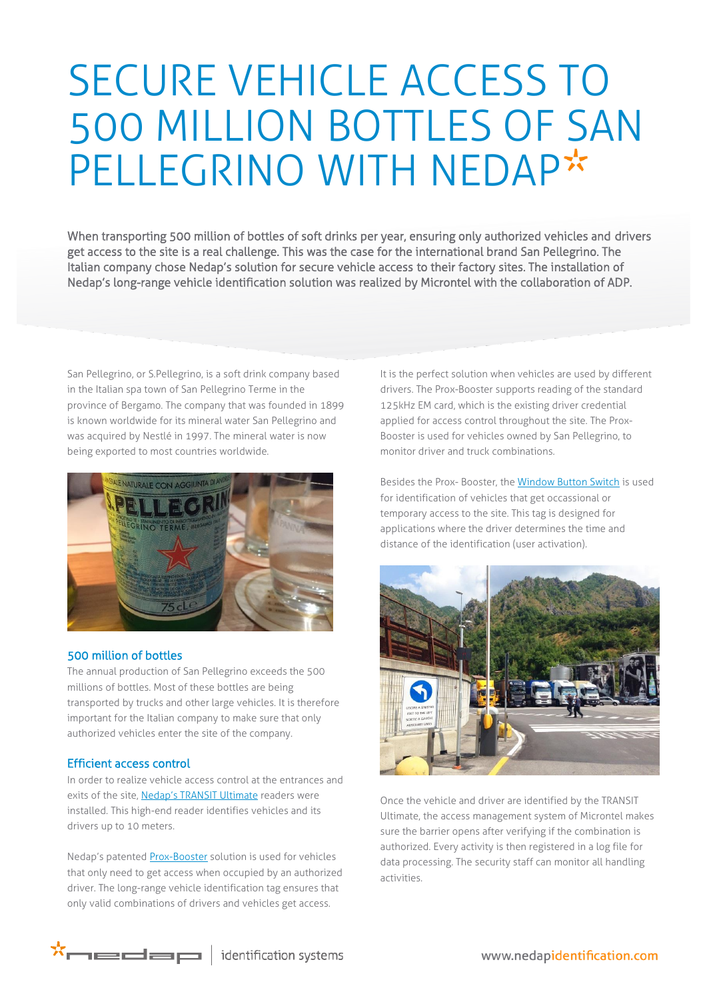# SECURE VEHICLE ACCESS TO 500 MILLION BOTTLES OF SAN PELLEGRINO WITH NEDAP\*

When transporting 500 million of bottles of soft drinks per year, ensuring only authorized vehicles and drivers get access to the site is a real challenge. This was the case for the international brand San Pellegrino. The Italian company chose Nedap's solution for secure vehicle access to their factory sites. The installation of Nedap's long-range vehicle identification solution was realized by Microntel with the collaboration of ADP.

San Pellegrino, or S.Pellegrino, is a soft drink company based in the Italian spa town of San Pellegrino Terme in the province of Bergamo. The company that was founded in 1899 is known worldwide for its mineral water San Pellegrino and was acquired by Nestlé in 1997. The mineral water is now being exported to most countries worldwide.



### 500 million of bottles

The annual production of San Pellegrino exceeds the 500 millions of bottles. Most of these bottles are being transported by trucks and other large vehicles. It is therefore important for the Italian company to make sure that only authorized vehicles enter the site of the company.

### Efficient access control

In order to realize vehicle access control at the entrances and exits of the site, [Nedap's TRANSIT Ultimate](http://www.nedapidentification.com/products/transit-readers/transit-ultimate.html) readers were installed. This high-end reader identifies vehicles and its drivers up to 10 meters.

Nedap's patented [Prox-Booster](http://www.nedapidentification.com/products/transit-readers/booster-2g.html) solution is used for vehicles that only need to get access when occupied by an authorized driver. The long-range vehicle identification tag ensures that only valid combinations of drivers and vehicles get access.

It is the perfect solution when vehicles are used by different drivers. The Prox-Booster supports reading of the standard 125kHz EM card, which is the existing driver credential applied for access control throughout the site. The Prox-Booster is used for vehicles owned by San Pellegrino, to monitor driver and truck combinations.

Besides the Prox- Booster, the [Window Button Switch](http://www.nedapidentification.com/products/transit-readers/window-button-switch.html) is used for identification of vehicles that get occassional or temporary access to the site. This tag is designed for applications where the driver determines the time and distance of the identification (user activation).



Once the vehicle and driver are identified by the TRANSIT Ultimate, the access management system of Microntel makes sure the barrier opens after verifying if the combination is authorized. Every activity is then registered in a log file for data processing. The security staff can monitor all handling activities.

 $\star$  $\overline{\phantom{a}}$  identification systems

www.nedapidentification.com